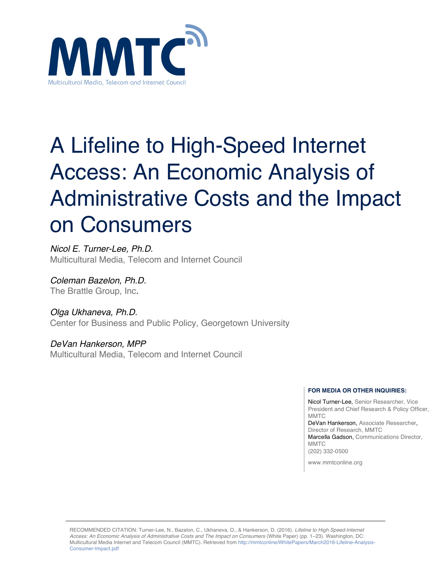

# A Lifeline to High-Speed Internet Access: An Economic Analysis of Administrative Costs and the Impact on Consumers

*Nicol E. Turner-Lee, Ph.D.* Multicultural Media, Telecom and Internet Council

*Coleman Bazelon, Ph.D.* The Brattle Group, Inc.

*Olga Ukhaneva, Ph.D.* Center for Business and Public Policy, Georgetown University

*DeVan Hankerson, MPP* Multicultural Media, Telecom and Internet Council

#### **FOR MEDIA OR OTHER INQUIRIES:**

Nicol Turner-Lee, Senior Researcher, Vice President and Chief Research & Policy Officer, **MMTC** DeVan Hankerson, Associate Researcher, Director of Research, MMTC Marcella Gadson, Communications Director, **MMTC** (202) 332-0500

www.mmtconline.org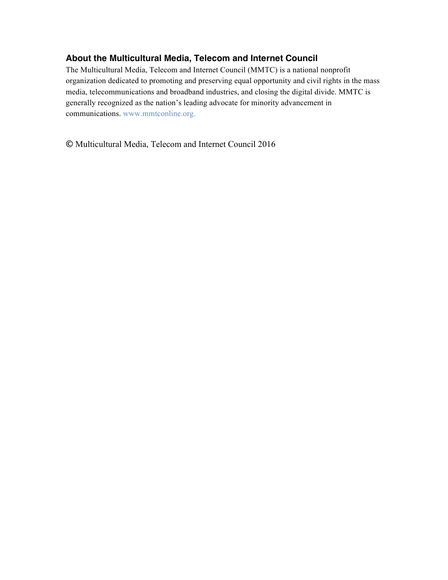### **About the Multicultural Media, Telecom and Internet Council**

The Multicultural Media, Telecom and Internet Council (MMTC) is a national nonprofit organization dedicated to promoting and preserving equal opportunity and civil rights in the mass media, telecommunications and broadband industries, and closing the digital divide. MMTC is generally recognized as the nation's leading advocate for minority advancement in communications. www.mmtconline.org.

**©** Multicultural Media, Telecom and Internet Council 2016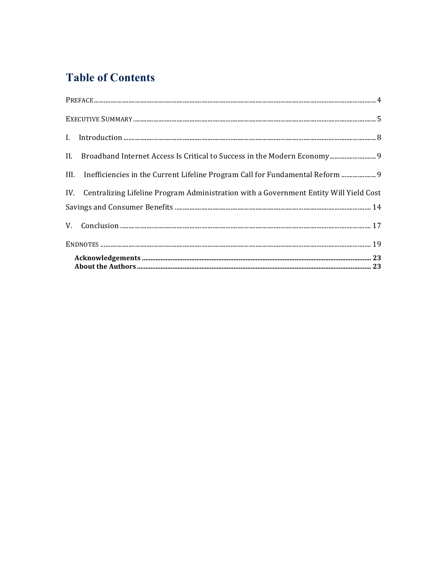### **Table of Contents**

|  | III. Inefficiencies in the Current Lifeline Program Call for Fundamental Reform  9        |  |
|--|-------------------------------------------------------------------------------------------|--|
|  | IV. Centralizing Lifeline Program Administration with a Government Entity Will Yield Cost |  |
|  |                                                                                           |  |
|  |                                                                                           |  |
|  |                                                                                           |  |
|  |                                                                                           |  |
|  |                                                                                           |  |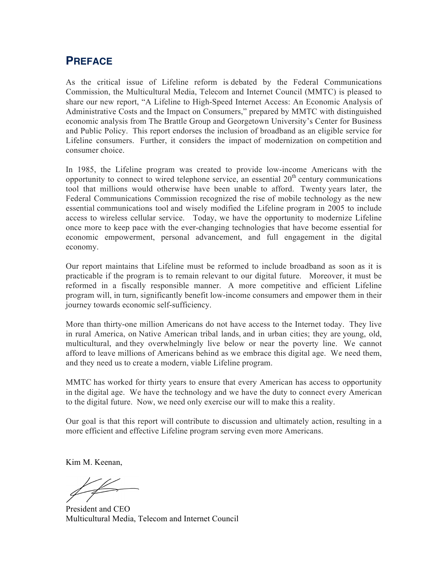### **PREFACE**

As the critical issue of Lifeline reform is debated by the Federal Communications Commission, the Multicultural Media, Telecom and Internet Council (MMTC) is pleased to share our new report, "A Lifeline to High-Speed Internet Access: An Economic Analysis of Administrative Costs and the Impact on Consumers," prepared by MMTC with distinguished economic analysis from The Brattle Group and Georgetown University's Center for Business and Public Policy. This report endorses the inclusion of broadband as an eligible service for Lifeline consumers. Further, it considers the impact of modernization on competition and consumer choice.

In 1985, the Lifeline program was created to provide low-income Americans with the opportunity to connect to wired telephone service, an essential  $20<sup>th</sup>$  century communications tool that millions would otherwise have been unable to afford. Twenty years later, the Federal Communications Commission recognized the rise of mobile technology as the new essential communications tool and wisely modified the Lifeline program in 2005 to include access to wireless cellular service. Today, we have the opportunity to modernize Lifeline once more to keep pace with the ever-changing technologies that have become essential for economic empowerment, personal advancement, and full engagement in the digital economy.

Our report maintains that Lifeline must be reformed to include broadband as soon as it is practicable if the program is to remain relevant to our digital future. Moreover, it must be reformed in a fiscally responsible manner. A more competitive and efficient Lifeline program will, in turn, significantly benefit low-income consumers and empower them in their journey towards economic self-sufficiency.

More than thirty-one million Americans do not have access to the Internet today. They live in rural America, on Native American tribal lands, and in urban cities; they are young, old, multicultural, and they overwhelmingly live below or near the poverty line. We cannot afford to leave millions of Americans behind as we embrace this digital age. We need them, and they need us to create a modern, viable Lifeline program.

MMTC has worked for thirty years to ensure that every American has access to opportunity in the digital age. We have the technology and we have the duty to connect every American to the digital future. Now, we need only exercise our will to make this a reality.

Our goal is that this report will contribute to discussion and ultimately action, resulting in a more efficient and effective Lifeline program serving even more Americans.

Kim M. Keenan,

President and CEO Multicultural Media, Telecom and Internet Council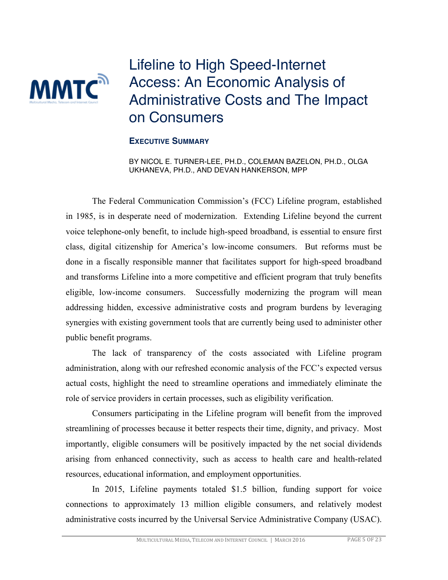## Lifeline to High Speed-Internet Access: An Economic Analysis of Administrative Costs and The Impact on Consumers

#### **EXECUTIVE SUMMARY**

**MMTC**<sup>2</sup>

BY NICOL E. TURNER-LEE, PH.D., COLEMAN BAZELON, PH.D., OLGA UKHANEVA, PH.D., AND DEVAN HANKERSON, MPP

The Federal Communication Commission's (FCC) Lifeline program, established in 1985, is in desperate need of modernization. Extending Lifeline beyond the current voice telephone-only benefit, to include high-speed broadband, is essential to ensure first class, digital citizenship for America's low-income consumers. But reforms must be done in a fiscally responsible manner that facilitates support for high-speed broadband and transforms Lifeline into a more competitive and efficient program that truly benefits eligible, low-income consumers. Successfully modernizing the program will mean addressing hidden, excessive administrative costs and program burdens by leveraging synergies with existing government tools that are currently being used to administer other public benefit programs.

The lack of transparency of the costs associated with Lifeline program administration, along with our refreshed economic analysis of the FCC's expected versus actual costs, highlight the need to streamline operations and immediately eliminate the role of service providers in certain processes, such as eligibility verification.

Consumers participating in the Lifeline program will benefit from the improved streamlining of processes because it better respects their time, dignity, and privacy. Most importantly, eligible consumers will be positively impacted by the net social dividends arising from enhanced connectivity, such as access to health care and health-related resources, educational information, and employment opportunities.

In 2015, Lifeline payments totaled \$1.5 billion, funding support for voice connections to approximately 13 million eligible consumers, and relatively modest administrative costs incurred by the Universal Service Administrative Company (USAC).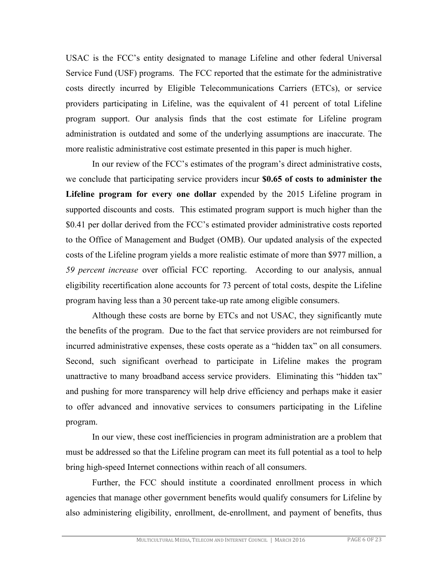USAC is the FCC's entity designated to manage Lifeline and other federal Universal Service Fund (USF) programs. The FCC reported that the estimate for the administrative costs directly incurred by Eligible Telecommunications Carriers (ETCs), or service providers participating in Lifeline, was the equivalent of 41 percent of total Lifeline program support. Our analysis finds that the cost estimate for Lifeline program administration is outdated and some of the underlying assumptions are inaccurate. The more realistic administrative cost estimate presented in this paper is much higher.

In our review of the FCC's estimates of the program's direct administrative costs, we conclude that participating service providers incur **\$0.65 of costs to administer the Lifeline program for every one dollar** expended by the 2015 Lifeline program in supported discounts and costs. This estimated program support is much higher than the \$0.41 per dollar derived from the FCC's estimated provider administrative costs reported to the Office of Management and Budget (OMB). Our updated analysis of the expected costs of the Lifeline program yields a more realistic estimate of more than \$977 million, a *59 percent increase* over official FCC reporting. According to our analysis, annual eligibility recertification alone accounts for 73 percent of total costs, despite the Lifeline program having less than a 30 percent take-up rate among eligible consumers.

Although these costs are borne by ETCs and not USAC, they significantly mute the benefits of the program. Due to the fact that service providers are not reimbursed for incurred administrative expenses, these costs operate as a "hidden tax" on all consumers. Second, such significant overhead to participate in Lifeline makes the program unattractive to many broadband access service providers. Eliminating this "hidden tax" and pushing for more transparency will help drive efficiency and perhaps make it easier to offer advanced and innovative services to consumers participating in the Lifeline program.

In our view, these cost inefficiencies in program administration are a problem that must be addressed so that the Lifeline program can meet its full potential as a tool to help bring high-speed Internet connections within reach of all consumers.

Further, the FCC should institute a coordinated enrollment process in which agencies that manage other government benefits would qualify consumers for Lifeline by also administering eligibility, enrollment, de-enrollment, and payment of benefits, thus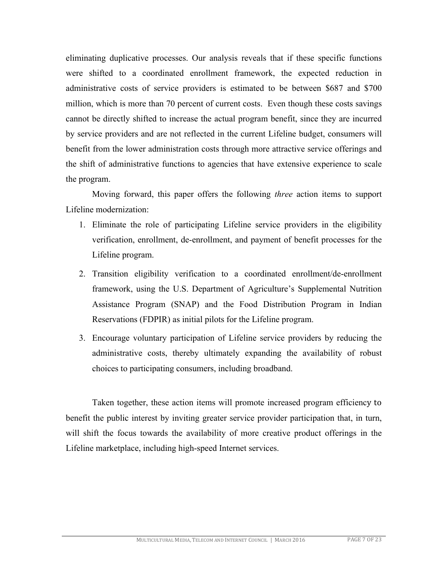eliminating duplicative processes. Our analysis reveals that if these specific functions were shifted to a coordinated enrollment framework, the expected reduction in administrative costs of service providers is estimated to be between \$687 and \$700 million, which is more than 70 percent of current costs. Even though these costs savings cannot be directly shifted to increase the actual program benefit, since they are incurred by service providers and are not reflected in the current Lifeline budget, consumers will benefit from the lower administration costs through more attractive service offerings and the shift of administrative functions to agencies that have extensive experience to scale the program.

Moving forward, this paper offers the following *three* action items to support Lifeline modernization:

- 1. Eliminate the role of participating Lifeline service providers in the eligibility verification, enrollment, de-enrollment, and payment of benefit processes for the Lifeline program.
- 2. Transition eligibility verification to a coordinated enrollment/de-enrollment framework, using the U.S. Department of Agriculture's Supplemental Nutrition Assistance Program (SNAP) and the Food Distribution Program in Indian Reservations (FDPIR) as initial pilots for the Lifeline program.
- 3. Encourage voluntary participation of Lifeline service providers by reducing the administrative costs, thereby ultimately expanding the availability of robust choices to participating consumers, including broadband.

Taken together, these action items will promote increased program efficiency to benefit the public interest by inviting greater service provider participation that, in turn, will shift the focus towards the availability of more creative product offerings in the Lifeline marketplace, including high-speed Internet services.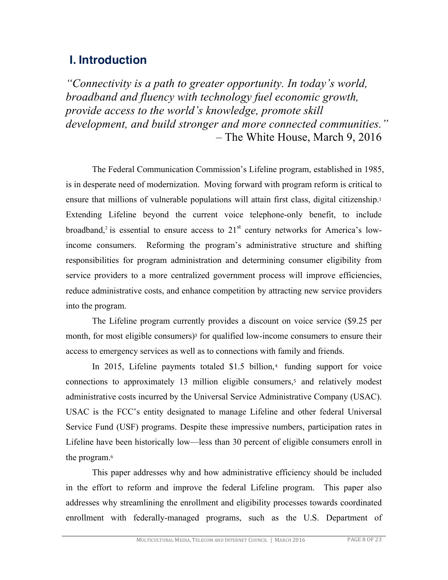### **I. Introduction**

*"Connectivity is a path to greater opportunity. In today's world, broadband and fluency with technology fuel economic growth, provide access to the world's knowledge, promote skill development, and build stronger and more connected communities."* – The White House, March 9, 2016

The Federal Communication Commission's Lifeline program, established in 1985, is in desperate need of modernization. Moving forward with program reform is critical to ensure that millions of vulnerable populations will attain first class, digital citizenship.<sup>1</sup> Extending Lifeline beyond the current voice telephone-only benefit, to include broadband,<sup>2</sup> is essential to ensure access to  $21<sup>st</sup>$  century networks for America's lowincome consumers. Reforming the program's administrative structure and shifting responsibilities for program administration and determining consumer eligibility from service providers to a more centralized government process will improve efficiencies, reduce administrative costs, and enhance competition by attracting new service providers into the program.

The Lifeline program currently provides a discount on voice service (\$9.25 per month, for most eligible consumers)<sup>3</sup> for qualified low-income consumers to ensure their access to emergency services as well as to connections with family and friends.

In 2015, Lifeline payments totaled  $$1.5$  billion,<sup>4</sup> funding support for voice connections to approximately 13 million eligible consumers,<sup>5</sup> and relatively modest administrative costs incurred by the Universal Service Administrative Company (USAC). USAC is the FCC's entity designated to manage Lifeline and other federal Universal Service Fund (USF) programs. Despite these impressive numbers, participation rates in Lifeline have been historically low—less than 30 percent of eligible consumers enroll in the program.<sup>6</sup>

This paper addresses why and how administrative efficiency should be included in the effort to reform and improve the federal Lifeline program. This paper also addresses why streamlining the enrollment and eligibility processes towards coordinated enrollment with federally-managed programs, such as the U.S. Department of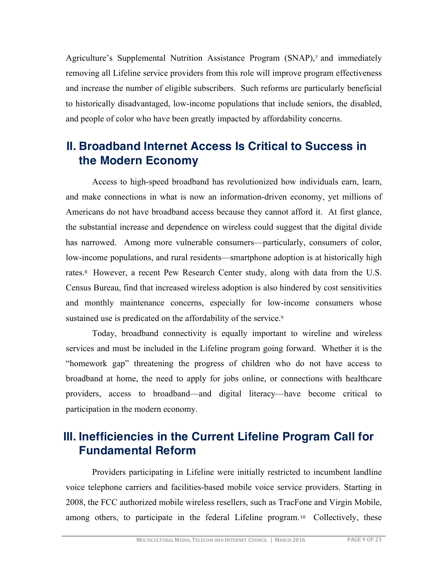Agriculture's Supplemental Nutrition Assistance Program (SNAP),<sup>7</sup> and immediately removing all Lifeline service providers from this role will improve program effectiveness and increase the number of eligible subscribers. Such reforms are particularly beneficial to historically disadvantaged, low-income populations that include seniors, the disabled, and people of color who have been greatly impacted by affordability concerns.

### **II. Broadband Internet Access Is Critical to Success in the Modern Economy**

Access to high-speed broadband has revolutionized how individuals earn, learn, and make connections in what is now an information-driven economy, yet millions of Americans do not have broadband access because they cannot afford it. At first glance, the substantial increase and dependence on wireless could suggest that the digital divide has narrowed. Among more vulnerable consumers—particularly, consumers of color, low-income populations, and rural residents—smartphone adoption is at historically high rates.8 However, a recent Pew Research Center study, along with data from the U.S. Census Bureau, find that increased wireless adoption is also hindered by cost sensitivities and monthly maintenance concerns, especially for low-income consumers whose sustained use is predicated on the affordability of the service.<sup>9</sup>

Today, broadband connectivity is equally important to wireline and wireless services and must be included in the Lifeline program going forward. Whether it is the "homework gap" threatening the progress of children who do not have access to broadband at home, the need to apply for jobs online, or connections with healthcare providers, access to broadband—and digital literacy—have become critical to participation in the modern economy.

### **III. Inefficiencies in the Current Lifeline Program Call for Fundamental Reform**

Providers participating in Lifeline were initially restricted to incumbent landline voice telephone carriers and facilities-based mobile voice service providers. Starting in 2008, the FCC authorized mobile wireless resellers, such as TracFone and Virgin Mobile, among others, to participate in the federal Lifeline program. <sup>10</sup> Collectively, these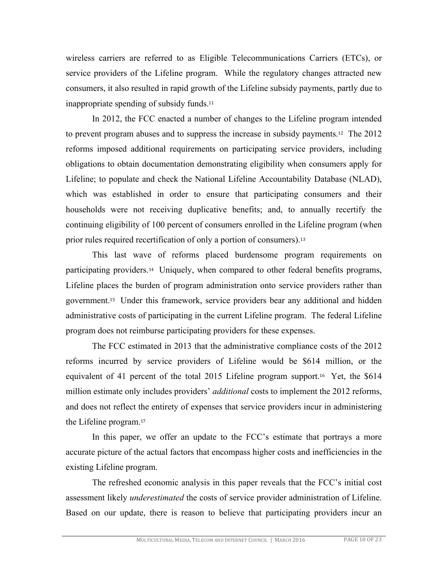wireless carriers are referred to as Eligible Telecommunications Carriers (ETCs), or service providers of the Lifeline program. While the regulatory changes attracted new consumers, it also resulted in rapid growth of the Lifeline subsidy payments, partly due to inappropriate spending of subsidy funds.<sup>11</sup>

In 2012, the FCC enacted a number of changes to the Lifeline program intended to prevent program abuses and to suppress the increase in subsidy payments.12 The 2012 reforms imposed additional requirements on participating service providers, including obligations to obtain documentation demonstrating eligibility when consumers apply for Lifeline; to populate and check the National Lifeline Accountability Database (NLAD), which was established in order to ensure that participating consumers and their households were not receiving duplicative benefits; and, to annually recertify the continuing eligibility of 100 percent of consumers enrolled in the Lifeline program (when prior rules required recertification of only a portion of consumers).<sup>13</sup>

This last wave of reforms placed burdensome program requirements on participating providers.14 Uniquely, when compared to other federal benefits programs, Lifeline places the burden of program administration onto service providers rather than government.15 Under this framework, service providers bear any additional and hidden administrative costs of participating in the current Lifeline program. The federal Lifeline program does not reimburse participating providers for these expenses.

The FCC estimated in 2013 that the administrative compliance costs of the 2012 reforms incurred by service providers of Lifeline would be \$614 million, or the equivalent of 41 percent of the total 2015 Lifeline program support.16 Yet, the \$614 million estimate only includes providers' *additional* costs to implement the 2012 reforms, and does not reflect the entirety of expenses that service providers incur in administering the Lifeline program.<sup>17</sup>

In this paper, we offer an update to the FCC's estimate that portrays a more accurate picture of the actual factors that encompass higher costs and inefficiencies in the existing Lifeline program.

The refreshed economic analysis in this paper reveals that the FCC's initial cost assessment likely *underestimated* the costs of service provider administration of Lifeline. Based on our update, there is reason to believe that participating providers incur an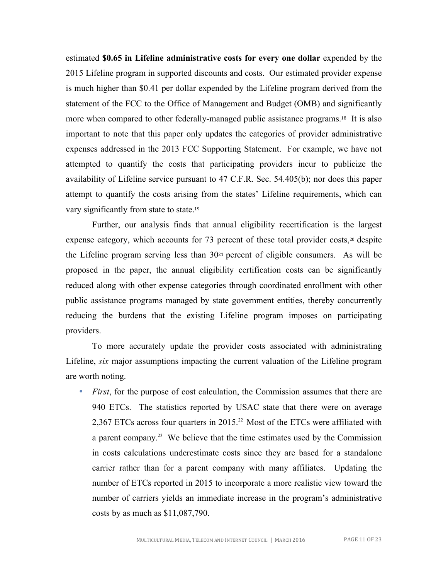estimated **\$0.65 in Lifeline administrative costs for every one dollar** expended by the 2015 Lifeline program in supported discounts and costs. Our estimated provider expense is much higher than \$0.41 per dollar expended by the Lifeline program derived from the statement of the FCC to the Office of Management and Budget (OMB) and significantly more when compared to other federally-managed public assistance programs.18 It is also important to note that this paper only updates the categories of provider administrative expenses addressed in the 2013 FCC Supporting Statement. For example, we have not attempted to quantify the costs that participating providers incur to publicize the availability of Lifeline service pursuant to 47 C.F.R. Sec. 54.405(b); nor does this paper attempt to quantify the costs arising from the states' Lifeline requirements, which can vary significantly from state to state.<sup>19</sup>

Further, our analysis finds that annual eligibility recertification is the largest expense category, which accounts for 73 percent of these total provider costs,<sup>20</sup> despite the Lifeline program serving less than 30<sup>21</sup> percent of eligible consumers. As will be proposed in the paper, the annual eligibility certification costs can be significantly reduced along with other expense categories through coordinated enrollment with other public assistance programs managed by state government entities, thereby concurrently reducing the burdens that the existing Lifeline program imposes on participating providers.

To more accurately update the provider costs associated with administrating Lifeline, *six* major assumptions impacting the current valuation of the Lifeline program are worth noting.

• *First*, for the purpose of cost calculation, the Commission assumes that there are 940 ETCs. The statistics reported by USAC state that there were on average 2,367 ETCs across four quarters in 2015.<sup>22</sup> Most of the ETCs were affiliated with a parent company.23 We believe that the time estimates used by the Commission in costs calculations underestimate costs since they are based for a standalone carrier rather than for a parent company with many affiliates. Updating the number of ETCs reported in 2015 to incorporate a more realistic view toward the number of carriers yields an immediate increase in the program's administrative costs by as much as \$11,087,790.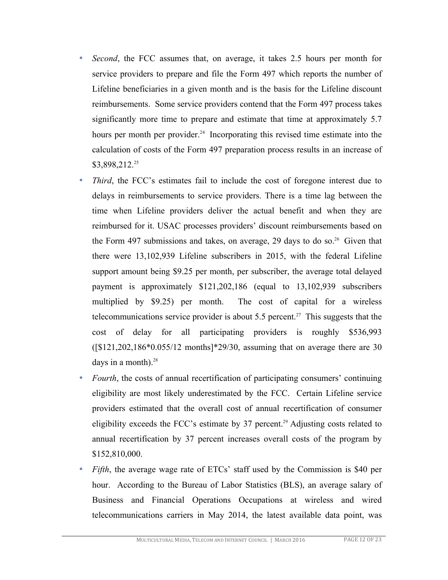- *Second*, the FCC assumes that, on average, it takes 2.5 hours per month for service providers to prepare and file the Form 497 which reports the number of Lifeline beneficiaries in a given month and is the basis for the Lifeline discount reimbursements. Some service providers contend that the Form 497 process takes significantly more time to prepare and estimate that time at approximately 5.7 hours per month per provider.<sup>24</sup> Incorporating this revised time estimate into the calculation of costs of the Form 497 preparation process results in an increase of \$3,898,212.25
- *Third*, the FCC's estimates fail to include the cost of foregone interest due to delays in reimbursements to service providers. There is a time lag between the time when Lifeline providers deliver the actual benefit and when they are reimbursed for it. USAC processes providers' discount reimbursements based on the Form 497 submissions and takes, on average, 29 days to do so. 26 Given that there were 13,102,939 Lifeline subscribers in 2015, with the federal Lifeline support amount being \$9.25 per month, per subscriber, the average total delayed payment is approximately \$121,202,186 (equal to 13,102,939 subscribers multiplied by \$9.25) per month. The cost of capital for a wireless telecommunications service provider is about 5.5 percent.<sup>27</sup> This suggests that the cost of delay for all participating providers is roughly \$536,993 ([\$121,202,186\*0.055/12 months]\*29/30, assuming that on average there are 30 days in a month). $28$
- *Fourth*, the costs of annual recertification of participating consumers' continuing eligibility are most likely underestimated by the FCC. Certain Lifeline service providers estimated that the overall cost of annual recertification of consumer eligibility exceeds the FCC's estimate by 37 percent.<sup>29</sup> Adjusting costs related to annual recertification by 37 percent increases overall costs of the program by \$152,810,000.
- *Fifth*, the average wage rate of ETCs' staff used by the Commission is \$40 per hour. According to the Bureau of Labor Statistics (BLS), an average salary of Business and Financial Operations Occupations at wireless and wired telecommunications carriers in May 2014, the latest available data point, was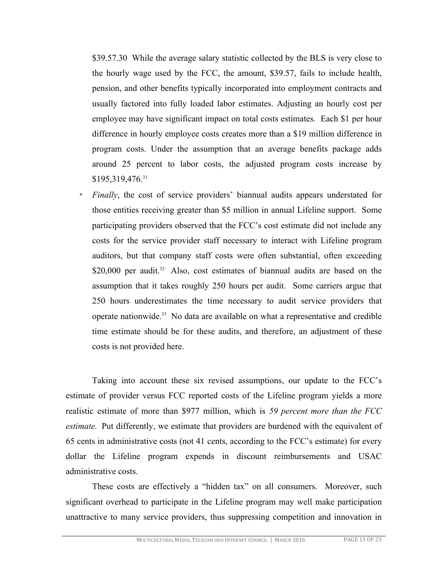\$39.57.30 While the average salary statistic collected by the BLS is very close to the hourly wage used by the FCC, the amount, \$39.57, fails to include health, pension, and other benefits typically incorporated into employment contracts and usually factored into fully loaded labor estimates. Adjusting an hourly cost per employee may have significant impact on total costs estimates. Each \$1 per hour difference in hourly employee costs creates more than a \$19 million difference in program costs. Under the assumption that an average benefits package adds around 25 percent to labor costs, the adjusted program costs increase by  $$195,319,476.<sup>31</sup>$ 

• *Finally*, the cost of service providers' biannual audits appears understated for those entities receiving greater than \$5 million in annual Lifeline support. Some participating providers observed that the FCC's cost estimate did not include any costs for the service provider staff necessary to interact with Lifeline program auditors, but that company staff costs were often substantial, often exceeding \$20,000 per audit.<sup>32</sup> Also, cost estimates of biannual audits are based on the assumption that it takes roughly 250 hours per audit. Some carriers argue that 250 hours underestimates the time necessary to audit service providers that operate nationwide.33 No data are available on what a representative and credible time estimate should be for these audits, and therefore, an adjustment of these costs is not provided here.

Taking into account these six revised assumptions, our update to the FCC's estimate of provider versus FCC reported costs of the Lifeline program yields a more realistic estimate of more than \$977 million, which is *59 percent more than the FCC estimate.* Put differently, we estimate that providers are burdened with the equivalent of 65 cents in administrative costs (not 41 cents, according to the FCC's estimate) for every dollar the Lifeline program expends in discount reimbursements and USAC administrative costs.

These costs are effectively a "hidden tax" on all consumers. Moreover, such significant overhead to participate in the Lifeline program may well make participation unattractive to many service providers, thus suppressing competition and innovation in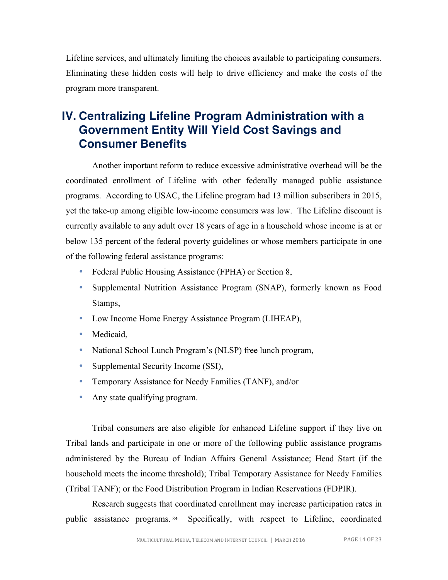Lifeline services, and ultimately limiting the choices available to participating consumers. Eliminating these hidden costs will help to drive efficiency and make the costs of the program more transparent.

### **IV. Centralizing Lifeline Program Administration with a Government Entity Will Yield Cost Savings and Consumer Benefits**

Another important reform to reduce excessive administrative overhead will be the coordinated enrollment of Lifeline with other federally managed public assistance programs. According to USAC, the Lifeline program had 13 million subscribers in 2015, yet the take-up among eligible low-income consumers was low. The Lifeline discount is currently available to any adult over 18 years of age in a household whose income is at or below 135 percent of the federal poverty guidelines or whose members participate in one of the following federal assistance programs:

- Federal Public Housing Assistance (FPHA) or Section 8,
- Supplemental Nutrition Assistance Program (SNAP), formerly known as Food Stamps,
- Low Income Home Energy Assistance Program (LIHEAP),
- Medicaid,
- National School Lunch Program's (NLSP) free lunch program,
- Supplemental Security Income (SSI),
- Temporary Assistance for Needy Families (TANF), and/or
- Any state qualifying program.

Tribal consumers are also eligible for enhanced Lifeline support if they live on Tribal lands and participate in one or more of the following public assistance programs administered by the Bureau of Indian Affairs General Assistance; Head Start (if the household meets the income threshold); Tribal Temporary Assistance for Needy Families (Tribal TANF); or the Food Distribution Program in Indian Reservations (FDPIR).

Research suggests that coordinated enrollment may increase participation rates in public assistance programs. <sup>34</sup> Specifically, with respect to Lifeline, coordinated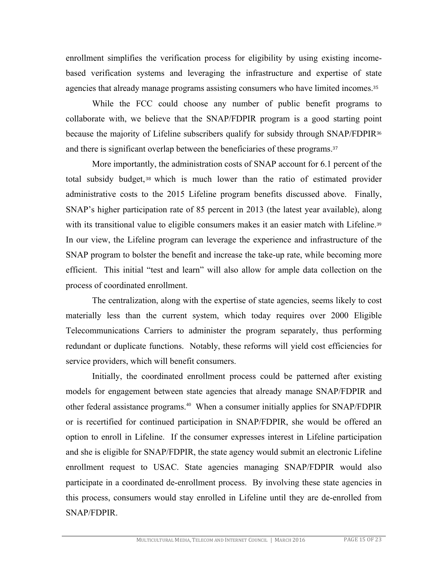enrollment simplifies the verification process for eligibility by using existing incomebased verification systems and leveraging the infrastructure and expertise of state agencies that already manage programs assisting consumers who have limited incomes.<sup>35</sup>

While the FCC could choose any number of public benefit programs to collaborate with, we believe that the SNAP/FDPIR program is a good starting point because the majority of Lifeline subscribers qualify for subsidy through SNAP/FDPIR<sup>36</sup> and there is significant overlap between the beneficiaries of these programs.<sup>37</sup>

More importantly, the administration costs of SNAP account for 6.1 percent of the total subsidy budget, <sup>38</sup> which is much lower than the ratio of estimated provider administrative costs to the 2015 Lifeline program benefits discussed above. Finally, SNAP's higher participation rate of 85 percent in 2013 (the latest year available), along with its transitional value to eligible consumers makes it an easier match with Lifeline.<sup>39</sup> In our view, the Lifeline program can leverage the experience and infrastructure of the SNAP program to bolster the benefit and increase the take-up rate, while becoming more efficient. This initial "test and learn" will also allow for ample data collection on the process of coordinated enrollment.

The centralization, along with the expertise of state agencies, seems likely to cost materially less than the current system, which today requires over 2000 Eligible Telecommunications Carriers to administer the program separately, thus performing redundant or duplicate functions. Notably, these reforms will yield cost efficiencies for service providers, which will benefit consumers.

Initially, the coordinated enrollment process could be patterned after existing models for engagement between state agencies that already manage SNAP/FDPIR and other federal assistance programs. <sup>40</sup> When a consumer initially applies for SNAP/FDPIR or is recertified for continued participation in SNAP/FDPIR, she would be offered an option to enroll in Lifeline. If the consumer expresses interest in Lifeline participation and she is eligible for SNAP/FDPIR, the state agency would submit an electronic Lifeline enrollment request to USAC. State agencies managing SNAP/FDPIR would also participate in a coordinated de-enrollment process. By involving these state agencies in this process, consumers would stay enrolled in Lifeline until they are de-enrolled from SNAP/FDPIR.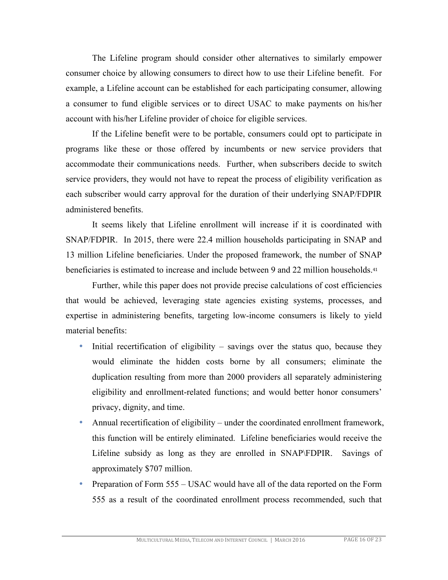The Lifeline program should consider other alternatives to similarly empower consumer choice by allowing consumers to direct how to use their Lifeline benefit. For example, a Lifeline account can be established for each participating consumer, allowing a consumer to fund eligible services or to direct USAC to make payments on his/her account with his/her Lifeline provider of choice for eligible services.

If the Lifeline benefit were to be portable, consumers could opt to participate in programs like these or those offered by incumbents or new service providers that accommodate their communications needs. Further, when subscribers decide to switch service providers, they would not have to repeat the process of eligibility verification as each subscriber would carry approval for the duration of their underlying SNAP/FDPIR administered benefits.

It seems likely that Lifeline enrollment will increase if it is coordinated with SNAP/FDPIR. In 2015, there were 22.4 million households participating in SNAP and 13 million Lifeline beneficiaries. Under the proposed framework, the number of SNAP beneficiaries is estimated to increase and include between 9 and 22 million households.<sup>41</sup>

Further, while this paper does not provide precise calculations of cost efficiencies that would be achieved, leveraging state agencies existing systems, processes, and expertise in administering benefits, targeting low-income consumers is likely to yield material benefits:

- Initial recertification of eligibility  $-$  savings over the status quo, because they would eliminate the hidden costs borne by all consumers; eliminate the duplication resulting from more than 2000 providers all separately administering eligibility and enrollment-related functions; and would better honor consumers' privacy, dignity, and time.
- Annual recertification of eligibility under the coordinated enrollment framework, this function will be entirely eliminated. Lifeline beneficiaries would receive the Lifeline subsidy as long as they are enrolled in SNAP\FDPIR. Savings of approximately \$707 million.
- Preparation of Form 555 USAC would have all of the data reported on the Form 555 as a result of the coordinated enrollment process recommended, such that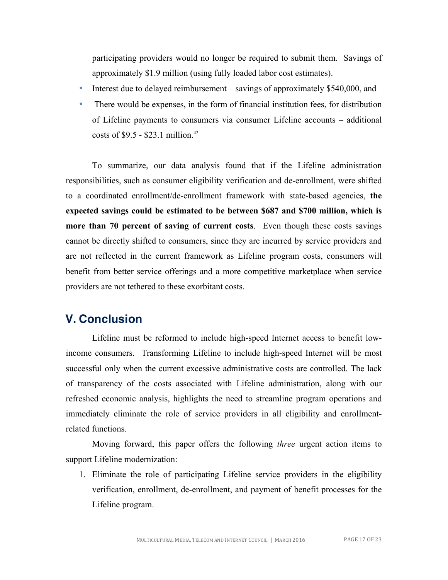participating providers would no longer be required to submit them. Savings of approximately \$1.9 million (using fully loaded labor cost estimates).

- Interest due to delayed reimbursement savings of approximately \$540,000, and
- There would be expenses, in the form of financial institution fees, for distribution of Lifeline payments to consumers via consumer Lifeline accounts – additional costs of  $$9.5 - $23.1$  million.<sup>42</sup>

To summarize, our data analysis found that if the Lifeline administration responsibilities, such as consumer eligibility verification and de-enrollment, were shifted to a coordinated enrollment/de-enrollment framework with state-based agencies, **the expected savings could be estimated to be between \$687 and \$700 million, which is more than 70 percent of saving of current costs**. Even though these costs savings cannot be directly shifted to consumers, since they are incurred by service providers and are not reflected in the current framework as Lifeline program costs, consumers will benefit from better service offerings and a more competitive marketplace when service providers are not tethered to these exorbitant costs.

### **V. Conclusion**

Lifeline must be reformed to include high-speed Internet access to benefit lowincome consumers. Transforming Lifeline to include high-speed Internet will be most successful only when the current excessive administrative costs are controlled. The lack of transparency of the costs associated with Lifeline administration, along with our refreshed economic analysis, highlights the need to streamline program operations and immediately eliminate the role of service providers in all eligibility and enrollmentrelated functions.

Moving forward, this paper offers the following *three* urgent action items to support Lifeline modernization:

1. Eliminate the role of participating Lifeline service providers in the eligibility verification, enrollment, de-enrollment, and payment of benefit processes for the Lifeline program.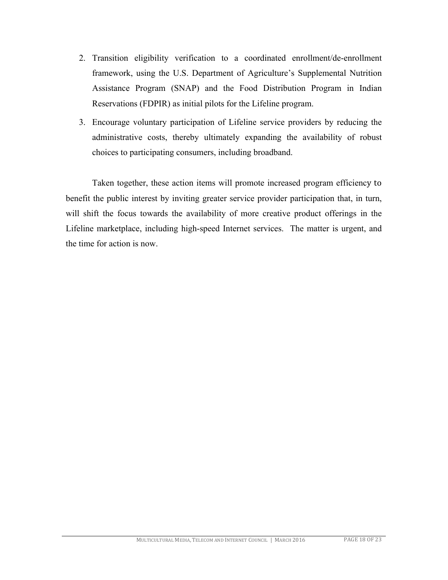- 2. Transition eligibility verification to a coordinated enrollment/de-enrollment framework, using the U.S. Department of Agriculture's Supplemental Nutrition Assistance Program (SNAP) and the Food Distribution Program in Indian Reservations (FDPIR) as initial pilots for the Lifeline program.
- 3. Encourage voluntary participation of Lifeline service providers by reducing the administrative costs, thereby ultimately expanding the availability of robust choices to participating consumers, including broadband.

Taken together, these action items will promote increased program efficiency to benefit the public interest by inviting greater service provider participation that, in turn, will shift the focus towards the availability of more creative product offerings in the Lifeline marketplace, including high-speed Internet services. The matter is urgent, and the time for action is now.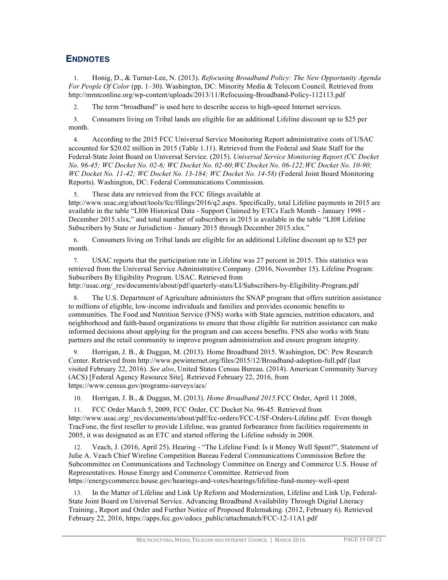### **ENDNOTES**

1. Honig, D., & Turner-Lee, N. (2013). *Refocusing Broadband Policy: The New Opportunity Agenda For People Of Color* (pp. 1–30). Washington, DC: Minority Media & Telecom Council. Retrieved from http://mmtconline.org/wp-content/uploads/2013/11/Refocusing-Broadband-Policy-112113.pdf

2. The term "broadband" is used here to describe access to high-speed Internet services.

3. Consumers living on Tribal lands are eligible for an additional Lifeline discount up to \$25 per month.

4. According to the 2015 FCC Universal Service Monitoring Report administrative costs of USAC accounted for \$20.02 million in 2015 (Table 1.11). Retrieved from the Federal and State Staff for the Federal-State Joint Board on Universal Service. (2015). *Universal Service Monitoring Report (CC Docket No. 96-45; WC Docket No. 02-6; WC Docket No. 02-60;WC Docket No. 06-122;WC Docket No. 10-90; WC Docket No. 11-42; WC Docket No. 13-184; WC Docket No. 14-58)* (Federal Joint Board Monitoring Reports). Washington, DC: Federal Communications Commission.

5. These data are retrieved from the FCC filings available at http://www.usac.org/about/tools/fcc/filings/2016/q2.aspx. Specifically, total Lifeline payments in 2015 are available in the table "LI06 Historical Data - Support Claimed by ETCs Each Month - January 1998 - December 2015.xlsx," and total number of subscribers in 2015 is available in the table "LI08 Lifeline Subscribers by State or Jurisdiction - January 2015 through December 2015.xlsx."

6. Consumers living on Tribal lands are eligible for an additional Lifeline discount up to \$25 per month.

7. USAC reports that the participation rate in Lifeline was 27 percent in 2015. This statistics was retrieved from the Universal Service Administrative Company. (2016, November 15). Lifeline Program: Subscribers By Eligibility Program. USAC. Retrieved from

http://usac.org/\_res/documents/about/pdf/quarterly-stats/LI/Subscribers-by-Eligibility-Program.pdf

8. The U.S. Department of Agriculture administers the SNAP program that offers nutrition assistance to millions of eligible, low-income individuals and families and provides economic benefits to communities. The Food and Nutrition Service (FNS) works with State agencies, nutrition educators, and neighborhood and faith-based organizations to ensure that those eligible for nutrition assistance can make informed decisions about applying for the program and can access benefits. FNS also works with State partners and the retail community to improve program administration and ensure program integrity.

9. Horrigan, J. B., & Duggan, M. (2013). Home Broadband 2015. Washington, DC: Pew Research Center. Retrieved from http://www.pewinternet.org/files/2015/12/Broadband-adoption-full.pdf (last visited February 22, 2016). *See also*, United States Census Bureau. (2014). American Community Survey (ACS) [Federal Agency Resource Site]. Retrieved February 22, 2016, from https://www.census.gov/programs-surveys/acs/

10. Horrigan, J. B., & Duggan, M. (2013). *Home Broadband 2015*.FCC Order, April 11 2008,

11. FCC Order March 5, 2009, FCC Order, CC Docket No. 96-45. Retrieved from http://www.usac.org/\_res/documents/about/pdf/fcc-orders/FCC-USF-Orders-Lifeline.pdf. Even though TracFone, the first reseller to provide Lifeline, was granted forbearance from facilities requirements in 2005, it was designated as an ETC and started offering the Lifeline subsidy in 2008.

12. Veach, J. (2016, April 25). Hearing - "The Lifeline Fund: Is it Money Well Spent?", Statement of Julie A. Veach Chief Wireline Competition Bureau Federal Communications Commission Before the Subcommittee on Communications and Technology Committee on Energy and Commerce U.S. House of Representatives. House Energy and Commerce Committee. Retrieved from https://energycommerce.house.gov/hearings-and-votes/hearings/lifeline-fund-money-well-spent

13. In the Matter of Lifeline and Link Up Reform and Modernization, Lifeline and Link Up, Federal-State Joint Board on Universal Service. Advancing Broadband Availability Through Digital Literacy Training., Report and Order and Further Notice of Proposed Rulemaking. (2012, February 6). Retrieved February 22, 2016, https://apps.fcc.gov/edocs\_public/attachmatch/FCC-12-11A1.pdf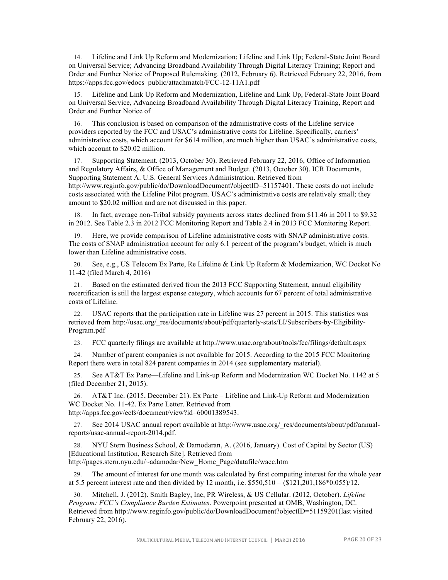14. Lifeline and Link Up Reform and Modernization; Lifeline and Link Up; Federal-State Joint Board on Universal Service; Advancing Broadband Availability Through Digital Literacy Training; Report and Order and Further Notice of Proposed Rulemaking. (2012, February 6). Retrieved February 22, 2016, from https://apps.fcc.gov/edocs\_public/attachmatch/FCC-12-11A1.pdf

15. Lifeline and Link Up Reform and Modernization, Lifeline and Link Up, Federal-State Joint Board on Universal Service, Advancing Broadband Availability Through Digital Literacy Training, Report and Order and Further Notice of

16. This conclusion is based on comparison of the administrative costs of the Lifeline service providers reported by the FCC and USAC's administrative costs for Lifeline. Specifically, carriers' administrative costs, which account for \$614 million, are much higher than USAC's administrative costs, which account to \$20.02 million.

17. Supporting Statement. (2013, October 30). Retrieved February 22, 2016, Office of Information and Regulatory Affairs, & Office of Management and Budget. (2013, October 30). ICR Documents, Supporting Statement A. U.S. General Services Administration. Retrieved from http://www.reginfo.gov/public/do/DownloadDocument?objectID=51157401. These costs do not include costs associated with the Lifeline Pilot program. USAC's administrative costs are relatively small; they amount to \$20.02 million and are not discussed in this paper.

18. In fact, average non-Tribal subsidy payments across states declined from \$11.46 in 2011 to \$9.32 in 2012. See Table 2.3 in 2012 FCC Monitoring Report and Table 2.4 in 2013 FCC Monitoring Report.

19. Here, we provide comparison of Lifeline administrative costs with SNAP administrative costs. The costs of SNAP administration account for only 6.1 percent of the program's budget, which is much lower than Lifeline administrative costs.

20. See, e.g., US Telecom Ex Parte, Re Lifeline & Link Up Reform & Modernization, WC Docket No 11-42 (filed March 4, 2016)

21. Based on the estimated derived from the 2013 FCC Supporting Statement, annual eligibility recertification is still the largest expense category, which accounts for 67 percent of total administrative costs of Lifeline.

22. USAC reports that the participation rate in Lifeline was 27 percent in 2015. This statistics was retrieved from http://usac.org/\_res/documents/about/pdf/quarterly-stats/LI/Subscribers-by-Eligibility-Program.pdf

23. FCC quarterly filings are available at http://www.usac.org/about/tools/fcc/filings/default.aspx

24. Number of parent companies is not available for 2015. According to the 2015 FCC Monitoring Report there were in total 824 parent companies in 2014 (see supplementary material).

25. See AT&T Ex Parte—Lifeline and Link-up Reform and Modernization WC Docket No. 1142 at 5 (filed December 21, 2015).

26. AT&T Inc. (2015, December 21). Ex Parte – Lifeline and Link-Up Reform and Modernization WC Docket No. 11-42. Ex Parte Letter. Retrieved from http://apps.fcc.gov/ecfs/document/view?id=60001389543.

27. See 2014 USAC annual report available at http://www.usac.org/\_res/documents/about/pdf/annualreports/usac-annual-report-2014.pdf.

28. NYU Stern Business School, & Damodaran, A. (2016, January). Cost of Capital by Sector (US) [Educational Institution, Research Site]. Retrieved from http://pages.stern.nyu.edu/~adamodar/New\_Home\_Page/datafile/wacc.htm

The amount of interest for one month was calculated by first computing interest for the whole year at 5.5 percent interest rate and then divided by 12 month, i.e.  $$550,510 = ($121,201,186*0.055)/12$ .

30. Mitchell, J. (2012). Smith Bagley, Inc, PR Wireless, & US Cellular. (2012, October). *Lifeline Program: FCC's Compliance Burden Estimates*. Powerpoint presented at OMB, Washington, DC. Retrieved from http://www.reginfo.gov/public/do/DownloadDocument?objectID=51159201(last visited February 22, 2016).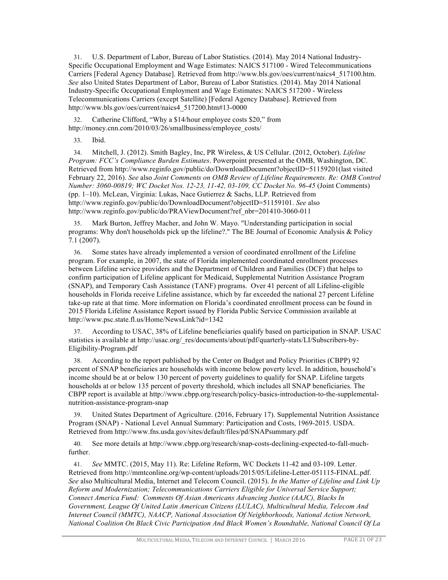31. U.S. Department of Labor, Bureau of Labor Statistics. (2014). May 2014 National Industry-Specific Occupational Employment and Wage Estimates: NAICS 517100 - Wired Telecommunications Carriers [Federal Agency Database]. Retrieved from http://www.bls.gov/oes/current/naics4\_517100.htm. *See* also United States Department of Labor, Bureau of Labor Statistics. (2014). May 2014 National Industry-Specific Occupational Employment and Wage Estimates: NAICS 517200 - Wireless Telecommunications Carriers (except Satellite) [Federal Agency Database]. Retrieved from http://www.bls.gov/oes/current/naics4\_517200.htm#13-0000

Catherine Clifford, "Why a \$14/hour employee costs \$20," from http://money.cnn.com/2010/03/26/smallbusiness/employee\_costs/

33. Ibid.

34. Mitchell, J. (2012). Smith Bagley, Inc, PR Wireless, & US Cellular. (2012, October). *Lifeline Program: FCC's Compliance Burden Estimates*. Powerpoint presented at the OMB, Washington, DC. Retrieved from http://www.reginfo.gov/public/do/DownloadDocument?objectID=51159201(last visited February 22, 2016). *See* also *Joint Comments on OMB Review of Lifeline Requirements. Re: OMB Control Number: 3060-00819; WC Docket Nos. 12-23, 11-42, 03-109, CC Docket No. 96-45* (Joint Comments) (pp. 1–10). McLean, Virginia: Lukas, Nace Gutierrez & Sachs, LLP. Retrieved from http://www.reginfo.gov/public/do/DownloadDocument?objectID=51159101. *See* also http://www.reginfo.gov/public/do/PRAViewDocument?ref\_nbr=201410-3060-011

35. Mark Burton, Jeffrey Macher, and John W. Mayo. "Understanding participation in social programs: Why don't households pick up the lifeline?." The BE Journal of Economic Analysis & Policy 7.1 (2007).

36. Some states have already implemented a version of coordinated enrollment of the Lifeline program. For example, in 2007, the state of Florida implemented coordinated enrollment processes between Lifeline service providers and the Department of Children and Families (DCF) that helps to confirm participation of Lifeline applicant for Medicaid, Supplemental Nutrition Assistance Program (SNAP), and Temporary Cash Assistance (TANF) programs. Over 41 percent of all Lifeline-eligible households in Florida receive Lifeline assistance, which by far exceeded the national 27 percent Lifeline take-up rate at that time. More information on Florida's coordinated enrollment process can be found in 2015 Florida Lifeline Assistance Report issued by Florida Public Service Commission available at http://www.psc.state.fl.us/Home/NewsLink?id=1342

37. According to USAC, 38% of Lifeline beneficiaries qualify based on participation in SNAP. USAC statistics is available at http://usac.org/\_res/documents/about/pdf/quarterly-stats/LI/Subscribers-by-Eligibility-Program.pdf

38. According to the report published by the Center on Budget and Policy Priorities (CBPP) 92 percent of SNAP beneficiaries are households with income below poverty level. In addition, household's income should be at or below 130 percent of poverty guidelines to qualify for SNAP. Lifeline targets households at or below 135 percent of poverty threshold, which includes all SNAP beneficiaries. The CBPP report is available at http://www.cbpp.org/research/policy-basics-introduction-to-the-supplementalnutrition-assistance-program-snap

39. United States Department of Agriculture. (2016, February 17). Supplemental Nutrition Assistance Program (SNAP) - National Level Annual Summary: Participation and Costs, 1969-2015. USDA. Retrieved from http://www.fns.usda.gov/sites/default/files/pd/SNAPsummary.pdf

40. See more details at http://www.cbpp.org/research/snap-costs-declining-expected-to-fall-muchfurther.

41. *See* MMTC. (2015, May 11). Re: Lifeline Reform, WC Dockets 11-42 and 03-109. Letter. Retrieved from http://mmtconline.org/wp-content/uploads/2015/05/Lifeline-Letter-051115-FINAL.pdf. *See* also Multicultural Media, Internet and Telecom Council. (2015). *In the Matter of Lifeline and Link Up Reform and Modernization; Telecommunications Carriers Eligible for Universal Service Support; Connect America Fund: Comments Of Asian Americans Advancing Justice (AAJC), Blacks In Government, League Of United Latin American Citizens (LULAC), Multicultural Media, Telecom And Internet Council (MMTC), NAACP, National Association Of Neighborhoods, National Action Network, National Coalition On Black Civic Participation And Black Women's Roundtable, National Council Of La*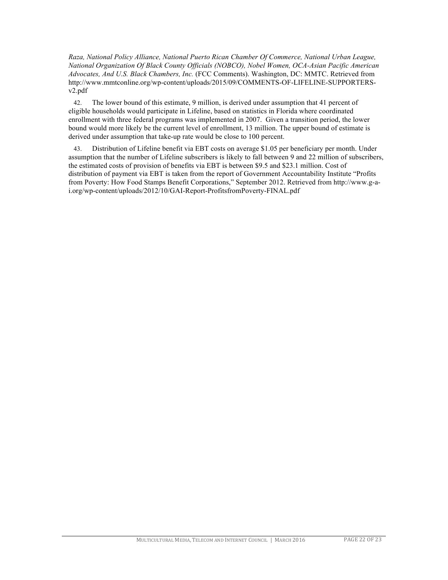*Raza, National Policy Alliance, National Puerto Rican Chamber Of Commerce, National Urban League, National Organization Of Black County Officials (NOBCO), Nobel Women, OCA-Asian Pacific American Advocates, And U.S. Black Chambers, Inc.* (FCC Comments). Washington, DC: MMTC. Retrieved from http://www.mmtconline.org/wp-content/uploads/2015/09/COMMENTS-OF-LIFELINE-SUPPORTERSv2.pdf

42. The lower bound of this estimate, 9 million, is derived under assumption that 41 percent of eligible households would participate in Lifeline, based on statistics in Florida where coordinated enrollment with three federal programs was implemented in 2007. Given a transition period, the lower bound would more likely be the current level of enrollment, 13 million. The upper bound of estimate is derived under assumption that take-up rate would be close to 100 percent.

43. Distribution of Lifeline benefit via EBT costs on average \$1.05 per beneficiary per month. Under assumption that the number of Lifeline subscribers is likely to fall between 9 and 22 million of subscribers, the estimated costs of provision of benefits via EBT is between \$9.5 and \$23.1 million. Cost of distribution of payment via EBT is taken from the report of Government Accountability Institute "Profits from Poverty: How Food Stamps Benefit Corporations," September 2012. Retrieved from http://www.g-ai.org/wp-content/uploads/2012/10/GAI-Report-ProfitsfromPoverty-FINAL.pdf